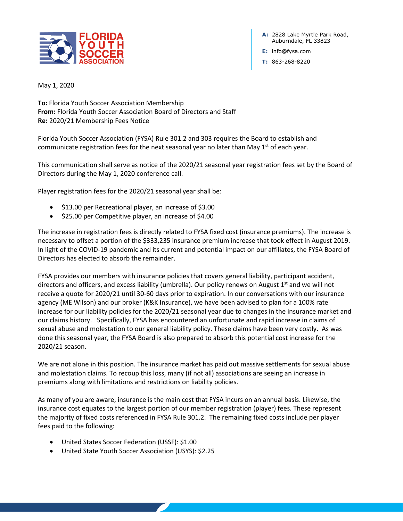

**A:** 2828 Lake Myrtle Park Road, Auburndale, FL 33823

**E:** info@fysa.com

**T:** 863-268-8220

May 1, 2020

**To:** Florida Youth Soccer Association Membership **From:** Florida Youth Soccer Association Board of Directors and Staff **Re:** 2020/21 Membership Fees Notice

Florida Youth Soccer Association (FYSA) Rule 301.2 and 303 requires the Board to establish and communicate registration fees for the next seasonal year no later than May  $1<sup>st</sup>$  of each year.

This communication shall serve as notice of the 2020/21 seasonal year registration fees set by the Board of Directors during the May 1, 2020 conference call.

Player registration fees for the 2020/21 seasonal year shall be:

- \$13.00 per Recreational player, an increase of \$3.00
- \$25.00 per Competitive player, an increase of \$4.00

The increase in registration fees is directly related to FYSA fixed cost (insurance premiums). The increase is necessary to offset a portion of the \$333,235 insurance premium increase that took effect in August 2019. In light of the COVID-19 pandemic and its current and potential impact on our affiliates, the FYSA Board of Directors has elected to absorb the remainder.

FYSA provides our members with insurance policies that covers general liability, participant accident, directors and officers, and excess liability (umbrella). Our policy renews on August  $1<sup>st</sup>$  and we will not receive a quote for 2020/21 until 30-60 days prior to expiration. In our conversations with our insurance agency (ME Wilson) and our broker (K&K Insurance), we have been advised to plan for a 100% rate increase for our liability policies for the 2020/21 seasonal year due to changes in the insurance market and our claims history. Specifically, FYSA has encountered an unfortunate and rapid increase in claims of sexual abuse and molestation to our general liability policy. These claims have been very costly. As was done this seasonal year, the FYSA Board is also prepared to absorb this potential cost increase for the 2020/21 season.

We are not alone in this position. The insurance market has paid out massive settlements for sexual abuse and molestation claims. To recoup this loss, many (if not all) associations are seeing an increase in premiums along with limitations and restrictions on liability policies.

As many of you are aware, insurance is the main cost that FYSA incurs on an annual basis. Likewise, the insurance cost equates to the largest portion of our member registration (player) fees. These represent the majority of fixed costs referenced in FYSA Rule 301.2. The remaining fixed costs include per player fees paid to the following:

- United States Soccer Federation (USSF): \$1.00
- United State Youth Soccer Association (USYS): \$2.25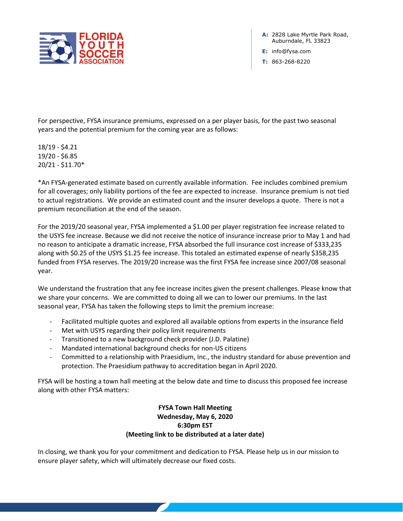

**A:** 2828 Lake Myrtle Park Road, Auburndale, FL 33823

**E:** info@fysa.com

**T:** 863-268-8220

For perspective, FYSA insurance premiums, expressed on a per player basis, for the past two seasonal years and the potential premium for the coming year are as follows:

18/19 - \$4.21 19/20 - \$6.85 20/21 - \$11.70\*

\*An FYSA-generated estimate based on currently available information. Fee includes combined premium for all coverages; only liability portions of the fee are expected to increase. Insurance premium is not tied to actual registrations. We provide an estimated count and the insurer develops a quote. There is not a premium reconciliation at the end of the season.

For the 2019/20 seasonal year, FYSA implemented a \$1.00 per player registration fee increase related to the USYS fee increase. Because we did not receive the notice of insurance increase prior to May 1 and had no reason to anticipate a dramatic increase, FYSA absorbed the full insurance cost increase of \$333,235 along with \$0.25 of the USYS \$1.25 fee increase. This totaled an estimated expense of nearly \$358,235 funded from FYSA reserves. The 2019/20 increase was the first FYSA fee increase since 2007/08 seasonal year.

We understand the frustration that any fee increase incites given the present challenges. Please know that we share your concerns. We are committed to doing all we can to lower our premiums. In the last seasonal year, FYSA has taken the following steps to limit the premium increase:

- Facilitated multiple quotes and explored all available options from experts in the insurance field
- Met with USYS regarding their policy limit requirements
- Transitioned to a new background check provider (J.D. Palatine)
- Mandated international background checks for non-US citizens
- Committed to a relationship with Praesidium, Inc., the industry standard for abuse prevention and protection. The Praesidium pathway to accreditation began in April 2020.

FYSA will be hosting a town hall meeting at the below date and time to discuss this proposed fee increase along with other FYSA matters:

## **FYSA Town Hall Meeting Wednesday, May 6, 2020 6:30pm EST (Meeting link to be distributed at a later date)**

In closing, we thank you for your commitment and dedication to FYSA. Please help us in our mission to ensure player safety, which will ultimately decrease our fixed costs.